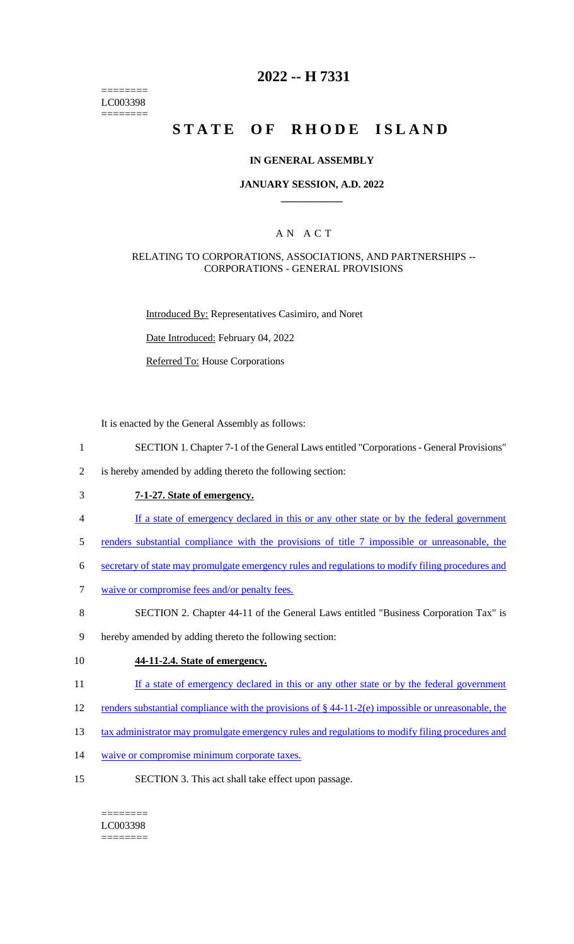======== LC003398 ========

# **2022 -- H 7331**

# STATE OF RHODE ISLAND

#### **IN GENERAL ASSEMBLY**

#### **JANUARY SESSION, A.D. 2022 \_\_\_\_\_\_\_\_\_\_\_\_**

### A N A C T

#### RELATING TO CORPORATIONS, ASSOCIATIONS, AND PARTNERSHIPS -- CORPORATIONS - GENERAL PROVISIONS

Introduced By: Representatives Casimiro, and Noret

Date Introduced: February 04, 2022

Referred To: House Corporations

It is enacted by the General Assembly as follows:

- 1 SECTION 1. Chapter 7-1 of the General Laws entitled "Corporations General Provisions"
- 2 is hereby amended by adding thereto the following section:
- 3 **7-1-27. State of emergency.**
- 4 If a state of emergency declared in this or any other state or by the federal government
- 5 renders substantial compliance with the provisions of title 7 impossible or unreasonable, the
- 6 secretary of state may promulgate emergency rules and regulations to modify filing procedures and
- 7 waive or compromise fees and/or penalty fees.
- 8 SECTION 2. Chapter 44-11 of the General Laws entitled "Business Corporation Tax" is
- 9 hereby amended by adding thereto the following section:
- 10 **44-11-2.4. State of emergency.**
- 11 If a state of emergency declared in this or any other state or by the federal government
- 12 renders substantial compliance with the provisions of  $\S$  44-11-2(e) impossible or unreasonable, the
- 13 tax administrator may promulgate emergency rules and regulations to modify filing procedures and
- 14 waive or compromise minimum corporate taxes.
- 15 SECTION 3. This act shall take effect upon passage.

======== LC003398 ========